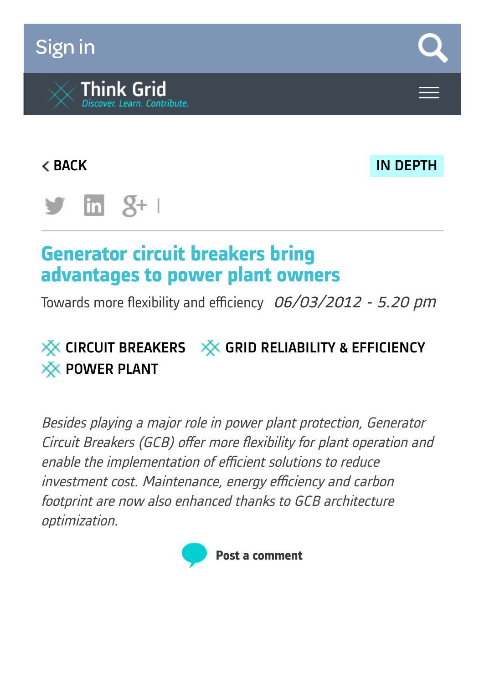# [Sign](https://www.think-grid.org/user/login) in







## **Generator circuit breakers bring advantages to power plant owners**

Towards more flexibility and efficiency  $06/03/2012 - 5.20$  pm

## $\frac{1}{2}$  CIRCUIT [BREAKERS](https://www.think-grid.org/tags/circuit-breakers-0)  $\frac{1}{2}$  GRID [RELIABILITY](https://www.think-grid.org/tags/grid-reliability-efficiency) & EFFICIENCY **XX [POWER](https://www.think-grid.org/tags/power-plant) PLANT**

Besides playing <sup>a</sup> major role in power plant protection, Generator Circuit Breakers (GCB) offer more flexibility for plant operation and enable the implementation of efficient solutions to reduce investment cost. Maintenance, energy efficiency and carbon footprint are now also enhanced thanks to GCB architecture optimization.

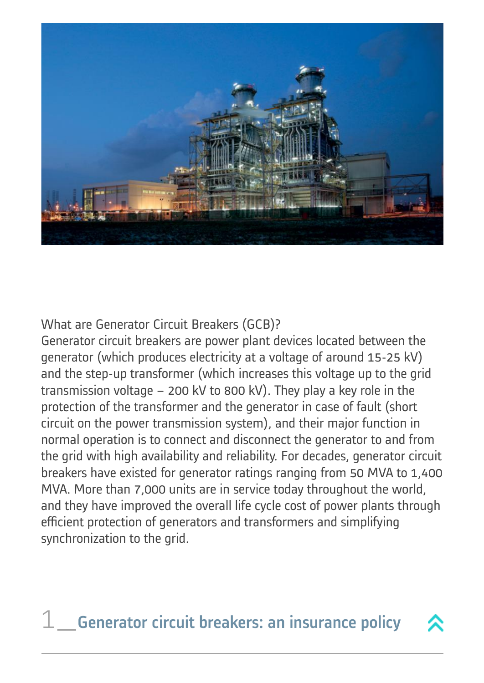

#### What are Generator Circuit Breakers (GCB)?

Generator circuit breakers are power plant devices located between the generator (which produces electricity at a voltage of around 15-25 kV) and the step-up transformer (which increases this voltage up to the grid transmission voltage – 200 kV to 800 kV). They play a key role in the protection of the transformer and the generator in case of fault (short circuit on the power transmission system), and their major function in normal operation is to connect and disconnect the generator to and from the grid with high availability and reliability. For decades, generator circuit breakers have existed for generator ratings ranging from 50 MVA to 1,400 MVA. More than 7,000 units are in service today throughout the world, and they have improved the overall life cycle cost of power plants through efficient protection of generators and transformers and simplifying synchronization to the grid.

## $1$  Generator circuit breakers: an insurance policy

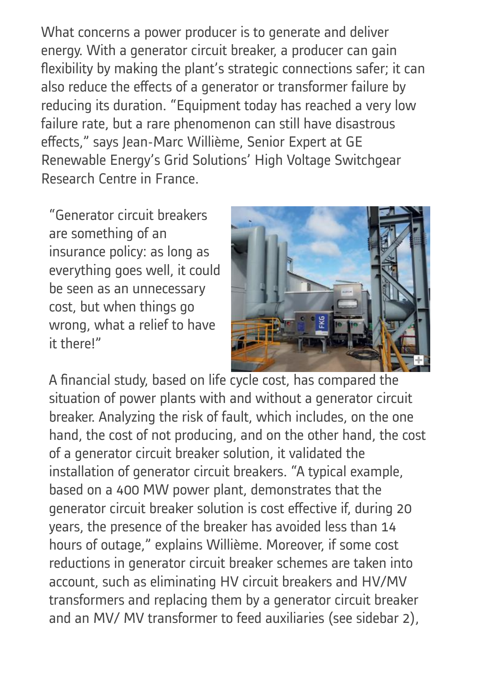What concerns a power producer is to generate and deliver energy. With a generator circuit breaker, a producer can gain flexibility by making the plant's strategic connections safer; it can also reduce the effects of a generator or transformer failure by reducing its duration. "Equipment today has reached a very low failure rate, but a rare phenomenon can still have disastrous effects," says Jean-Marc Willième, Senior Expert at GE Renewable Energy's Grid Solutions' High Voltage Switchgear Research Centre in France.

"Generator circuit breakers are something of an insurance policy: as long as everything goes well, it could be seen as an unnecessary cost, but when things go wrong, what a relief to have it there!"



A financial study, based on life cycle cost, has compared the situation of power plants with and without a generator circuit breaker. Analyzing the risk of fault, which includes, on the one hand, the cost of not producing, and on the other hand, the cost of a generator circuit breaker solution, it validated the installation of generator circuit breakers. "A typical example, based on a 400 MW power plant, demonstrates that the generator circuit breaker solution is cost effective if, during 20 years, the presence of the breaker has avoided less than 14 hours of outage," explains Willième. Moreover, if some cost reductions in generator circuit breaker schemes are taken into account, such as eliminating HV circuit breakers and HV/MV transformers and replacing them by a generator circuit breaker and an MV/ MV transformer to feed auxiliaries (see sidebar 2),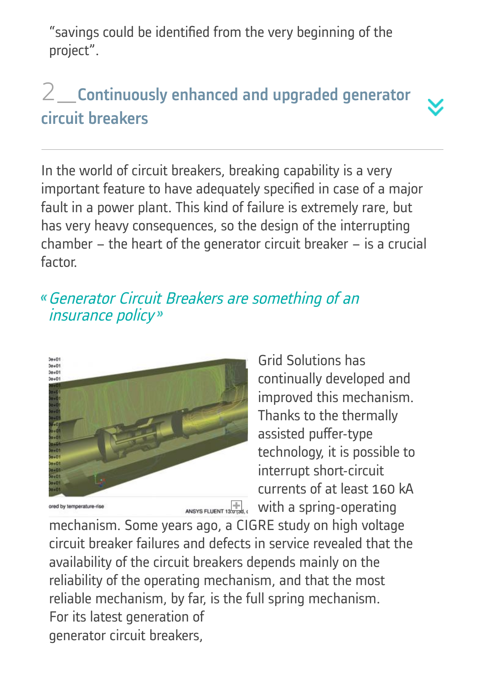"savings could be identified from the very beginning of the project".

## 2\_ Continuously enhanced and upgraded generator circuit breakers

In the world of circuit breakers, breaking capability is a very important feature to have adequately specified in case of a major fault in a power plant. This kind of failure is extremely rare, but has very heavy consequences, so the design of the interrupting chamber – the heart of the generator circuit breaker – is a crucial factor.

### Generator Circuit Breakers are something of an insurance policy»



Grid Solutions has continually developed and improved this mechanism. Thanks to the thermally assisted puffer-type technology, it is possible to interrupt short-circuit currents of at least 160 kA  $M$ ANSYS FLUENT 13.7788, With a spring-operating

mechanism. Some years ago, a CIGRE study on high voltage circuit breaker failures and defects in service revealed that the availability of the circuit breakers depends mainly on the reliability of the operating mechanism, and that the most reliable mechanism, by far, is the full spring mechanism. For its latest generation of generator circuit breakers,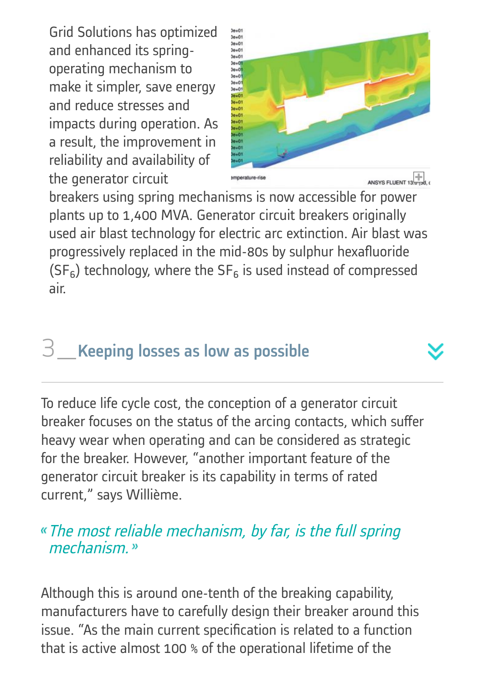Grid Solutions has optimized and enhanced its springoperating mechanism to make it simpler, save energy and reduce stresses and impacts during operation. As a result, the improvement in reliability and availability of the generator circuit



breakers using spring mechanisms is now accessible for power plants up to 1,400 MVA. Generator circuit breakers originally used air blast technology for electric arc extinction. Air blast was progressively replaced in the mid-80s by sulphur hexafluoride  $(SF_6)$  technology, where the  $SF_6$  is used instead of compressed air.

# $\beta$  Keeping losses as low as possible

To reduce life cycle cost, the conception of a generator circuit breaker focuses on the status of the arcing contacts, which suffer heavy wear when operating and can be considered as strategic for the breaker. However, "another important feature of the generator circuit breaker is its capability in terms of rated current," says Willième.

#### The most reliable mechanism, by far, is the full spring mechanism<sup>»</sup>

Although this is around one-tenth of the breaking capability, manufacturers have to carefully design their breaker around this issue. "As the main current specification is related to a function that is active almost 100 % of the operational lifetime of the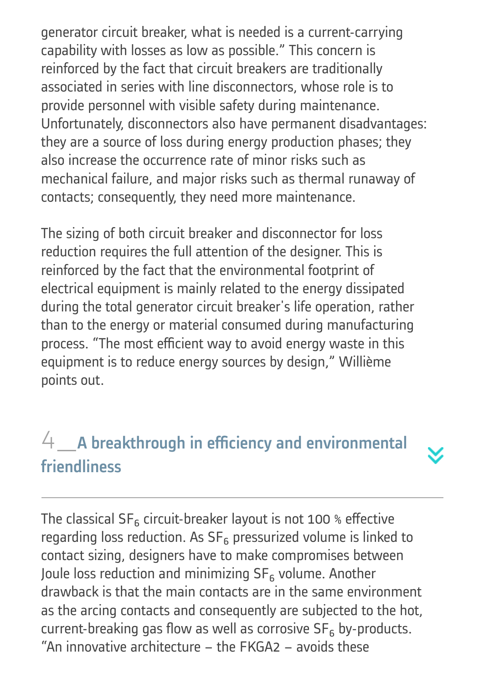generator circuit breaker, what is needed is a current-carrying capability with losses as low as possible." This concern is reinforced by the fact that circuit breakers are traditionally associated in series with line disconnectors, whose role is to provide personnel with visible safety during maintenance. Unfortunately, disconnectors also have permanent disadvantages: they are a source of loss during energy production phases; they also increase the occurrence rate of minor risks such as mechanical failure, and major risks such as thermal runaway of contacts; consequently, they need more maintenance.

The sizing of both circuit breaker and disconnector for loss reduction requires the full attention of the designer. This is reinforced by the fact that the environmental footprint of electrical equipment is mainly related to the energy dissipated during the total generator circuit breaker's life operation, rather than to the energy or material consumed during manufacturing process. "The most efficient way to avoid energy waste in this equipment is to reduce energy sources by design," Willième points out.

## $4$  A breakthrough in efficiency and environmental friendliness

The classical SF<sub>6</sub> circuit-breaker layout is not 100 % effective regarding loss reduction. As  $\mathsf{SF}_6$  pressurized volume is linked to contact sizing, designers have to make compromises between Joule loss reduction and minimizing  $\mathsf{SF}_6$  volume. Another drawback is that the main contacts are in the same environment as the arcing contacts and consequently are subjected to the hot, current-breaking gas flow as well as corrosive  $\mathsf{SF}_6$  by-products. "An innovative architecture – the FKGA2 – avoids these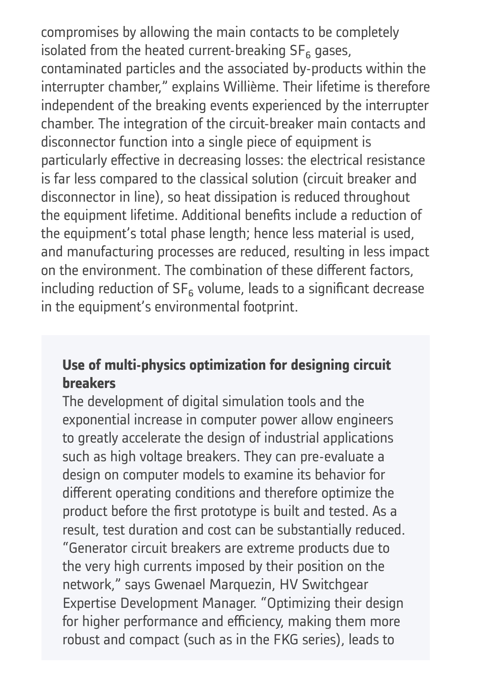compromises by allowing the main contacts to be completely isolated from the heated current-breaking  $\textsf{SF}_6$  gases, contaminated particles and the associated by-products within the interrupter chamber," explains Willième. Their lifetime is therefore independent of the breaking events experienced by the interrupter chamber. The integration of the circuit-breaker main contacts and disconnector function into a single piece of equipment is particularly effective in decreasing losses: the electrical resistance is far less compared to the classical solution (circuit breaker and disconnector in line), so heat dissipation is reduced throughout the equipment lifetime. Additional benefits include a reduction of the equipment's total phase length; hence less material is used, and manufacturing processes are reduced, resulting in less impact on the environment. The combination of these different factors, including reduction of  $SF_6$  volume, leads to a significant decrease in the equipment's environmental footprint.

#### **Use of multi-physics optimization for designing circuit breakers**

The development of digital simulation tools and the exponential increase in computer power allow engineers to greatly accelerate the design of industrial applications such as high voltage breakers. They can pre-evaluate a design on computer models to examine its behavior for different operating conditions and therefore optimize the product before the first prototype is built and tested. As a result, test duration and cost can be substantially reduced. "Generator circuit breakers are extreme products due to the very high currents imposed by their position on the network," says Gwenael Marquezin, HV Switchgear Expertise Development Manager. "Optimizing their design for higher performance and efficiency, making them more robust and compact (such as in the FKG series), leads to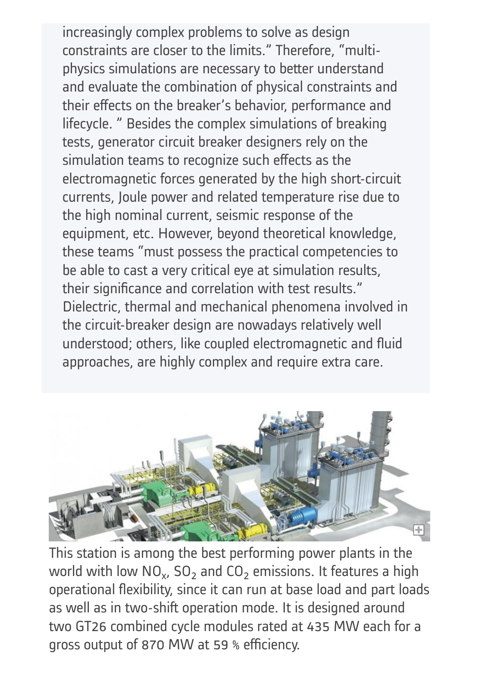increasingly complex problems to solve as design constraints are closer to the limits." Therefore, "multiphysics simulations are necessary to better understand and evaluate the combination of physical constraints and their effects on the breaker's behavior, performance and lifecycle. " Besides the complex simulations of breaking tests, generator circuit breaker designers rely on the simulation teams to recognize such effects as the electromagnetic forces generated by the high short-circuit currents, Joule power and related temperature rise due to the high nominal current, seismic response of the equipment, etc. However, beyond theoretical knowledge, these teams "must possess the practical competencies to be able to cast a very critical eye at simulation results, their significance and correlation with test results." Dielectric, thermal and mechanical phenomena involved in the circuit-breaker design are nowadays relatively well understood; others, like coupled electromagnetic and fluid approaches, are highly complex and require extra care.



This station is among the best performing power plants in the world with low  $NO_{x}$ , SO<sub>2</sub> and CO<sub>2</sub> emissions. It features a high operational flexibility, since it can run at base load and part loads as well as in two-shift operation mode. It is designed around two GT26 combined cycle modules rated at 435 MW each for a gross output of 870 MW at 59 % efficiency.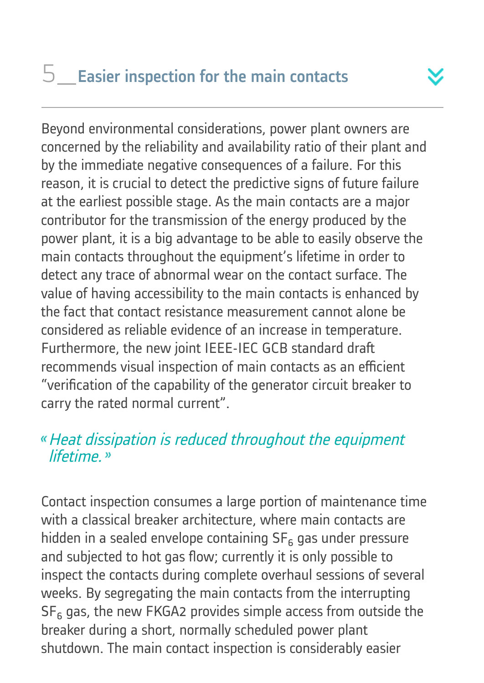Beyond environmental considerations, power plant owners are concerned by the reliability and availability ratio of their plant and by the immediate negative consequences of a failure. For this reason, it is crucial to detect the predictive signs of future failure at the earliest possible stage. As the main contacts are a major contributor for the transmission of the energy produced by the power plant, it is a big advantage to be able to easily observe the main contacts throughout the equipment's lifetime in order to detect any trace of abnormal wear on the contact surface. The value of having accessibility to the main contacts is enhanced by the fact that contact resistance measurement cannot alone be considered as reliable evidence of an increase in temperature. Furthermore, the new joint IEEE-IEC GCB standard draft recommends visual inspection of main contacts as an efficient " verification of the capability of the generator circuit breaker to carry the rated normal current".

#### Heat dissipation is reduced throughout the equipment lifetime.<sup>»</sup>

Contact inspection consumes a large portion of maintenance time with a classical breaker architecture, where main contacts are hidden in a sealed envelope containing  $\mathsf{SF}_6$  gas under pressure and subjected to hot gas flow; currently it is only possible to inspect the contacts during complete overhaul sessions of several weeks. By segregating the main contacts from the interrupting  $SF<sub>6</sub>$  gas, the new FKGA2 provides simple access from outside the breaker during a short, normally scheduled power plant shutdown. The main contact inspection is considerably easier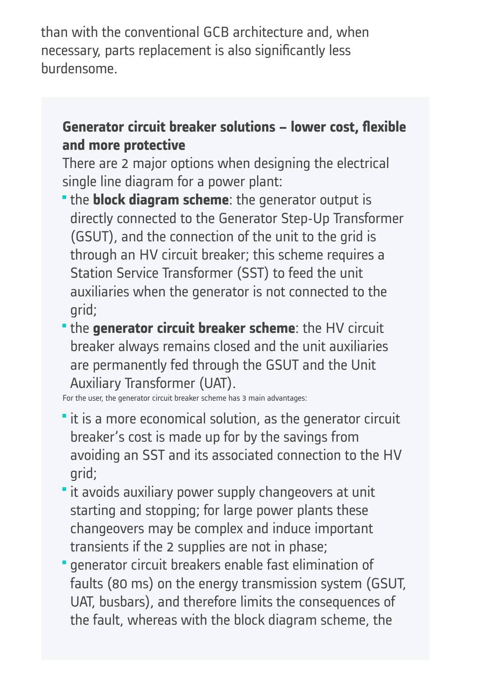than with the conventional GCB architecture and, when necessary, parts replacement is also significantly less burdensome.

#### **Generator circuit breaker solutions – lower cost, flexible and more protective**

There are 2 major options when designing the electrical single line diagram for a power plant:

- the **block diagram scheme**: the generator output is directly connected to the Generator Step-Up Transformer (GSUT), and the connection of the unit to the grid is through an HV circuit breaker; this scheme requires a Station Service Transformer (SST) to feed the unit auxiliaries when the generator is not connected to the grid;
- the **generator circuit breaker scheme**: the HV circuit breaker always remains closed and the unit auxiliaries are permanently fed through the GSUT and the Unit Auxiliary Transformer (UAT).

For the user, the generator circuit breaker scheme has 3 main advantages:

- **t** it is a more economical solution, as the generator circuit breaker's cost is made up for by the savings from avoiding an SST and its associated connection to the HV grid;
- **t** it avoids auxiliary power supply changeovers at unit starting and stopping; for large power plants these changeovers may be complex and induce important transients if the 2 supplies are not in phase;
- generator circuit breakers enable fast elimination of faults (80 ms) on the energy transmission system (GSUT, UAT, busbars), and therefore limits the consequences of the fault, whereas with the block diagram scheme, the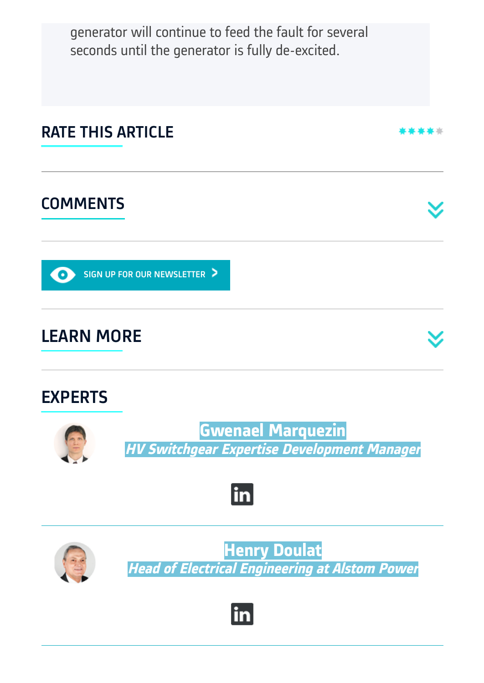